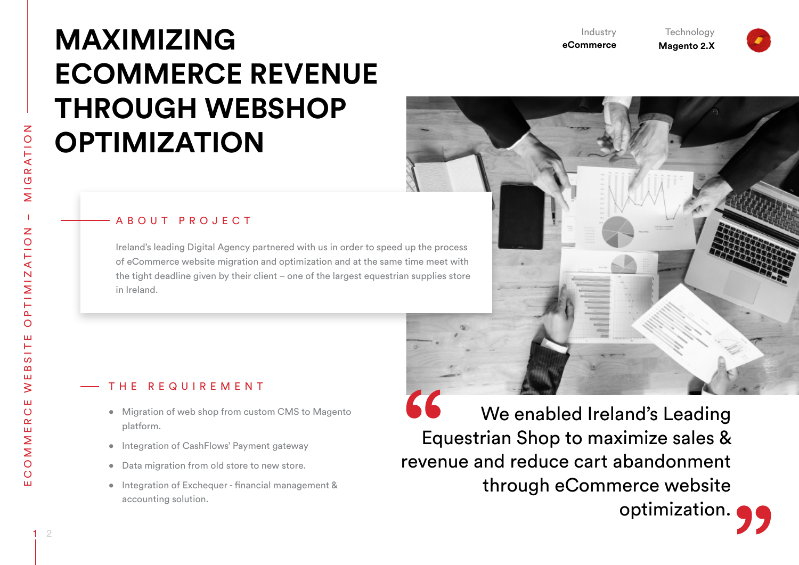$\circ$ ŵ

# **MAXIMIZING ECOMMERCE REVENUE THROUGH WEBSHOP OPTIMIZATION**

#### A B O U T P R O J E C T

Ireland's leading Digital Agency partnered with us in order to speed up the process of eCommerce website migration and optimization and at the same time meet with the tight deadline given by their client – one of the largest equestrian supplies store in Ireland.

## T H E R E Q U I R E M E N T

- • Migration of web shop from custom CMS to Magento platform.
- Integration of CashFlows' Payment gateway
- • Data migration from old store to new store.
- • Integration of Exchequer financial management & accounting solution.

66 We enabled Ireland's Leading Equestrian Shop to maximize sales & revenue and reduce cart abandonment through eCommerce website optimization.

**eCommerce**

Industry